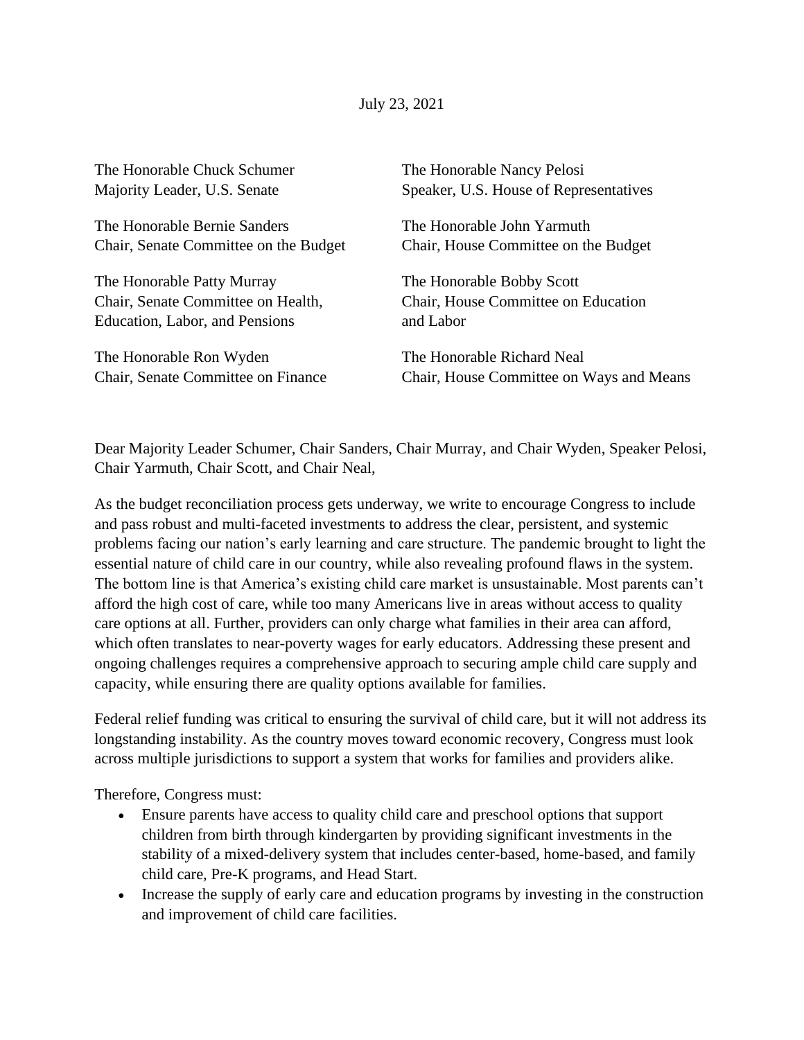July 23, 2021

| The Honorable Chuck Schumer           | The Honorable Nancy Pelosi               |
|---------------------------------------|------------------------------------------|
| Majority Leader, U.S. Senate          | Speaker, U.S. House of Representatives   |
| The Honorable Bernie Sanders          | The Honorable John Yarmuth               |
| Chair, Senate Committee on the Budget | Chair, House Committee on the Budget     |
| The Honorable Patty Murray            | The Honorable Bobby Scott                |
| Chair, Senate Committee on Health,    | Chair, House Committee on Education      |
| Education, Labor, and Pensions        | and Labor                                |
| The Honorable Ron Wyden               | The Honorable Richard Neal               |
| Chair, Senate Committee on Finance    | Chair, House Committee on Ways and Means |

Dear Majority Leader Schumer, Chair Sanders, Chair Murray, and Chair Wyden, Speaker Pelosi, Chair Yarmuth, Chair Scott, and Chair Neal,

As the budget reconciliation process gets underway, we write to encourage Congress to include and pass robust and multi-faceted investments to address the clear, persistent, and systemic problems facing our nation's early learning and care structure. The pandemic brought to light the essential nature of child care in our country, while also revealing profound flaws in the system. The bottom line is that America's existing child care market is unsustainable. Most parents can't afford the high cost of care, while too many Americans live in areas without access to quality care options at all. Further, providers can only charge what families in their area can afford, which often translates to near-poverty wages for early educators. Addressing these present and ongoing challenges requires a comprehensive approach to securing ample child care supply and capacity, while ensuring there are quality options available for families.

Federal relief funding was critical to ensuring the survival of child care, but it will not address its longstanding instability. As the country moves toward economic recovery, Congress must look across multiple jurisdictions to support a system that works for families and providers alike.

Therefore, Congress must:

- Ensure parents have access to quality child care and preschool options that support children from birth through kindergarten by providing significant investments in the stability of a mixed-delivery system that includes center-based, home-based, and family child care, Pre-K programs, and Head Start.
- Increase the supply of early care and education programs by investing in the construction and improvement of child care facilities.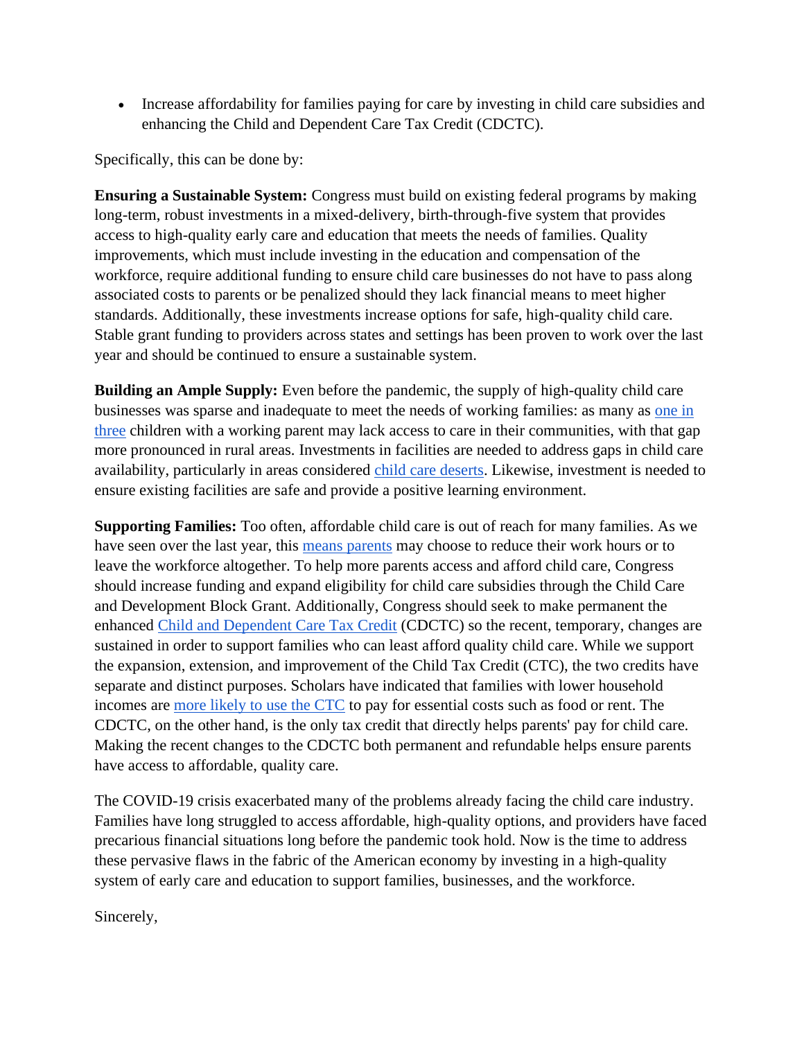• Increase affordability for families paying for care by investing in child care subsidies and enhancing the Child and Dependent Care Tax Credit (CDCTC).

Specifically, this can be done by:

**Ensuring a Sustainable System:** Congress must build on existing federal programs by making long-term, robust investments in a mixed-delivery, birth-through-five system that provides access to high-quality early care and education that meets the needs of families. Quality improvements, which must include investing in the education and compensation of the workforce, require additional funding to ensure child care businesses do not have to pass along associated costs to parents or be penalized should they lack financial means to meet higher standards. Additionally, these investments increase options for safe, high-quality child care. Stable grant funding to providers across states and settings has been proven to work over the last year and should be continued to ensure a sustainable system.

**Building an Ample Supply:** Even before the pandemic, the supply of high-quality child care businesses was sparse and inadequate to meet the needs of working families: as many as one in [three](https://childcaregap.org/) children with a working parent may lack access to care in their communities, with that gap more pronounced in rural areas. Investments in facilities are needed to address gaps in child care availability, particularly in areas considered [child care deserts.](https://childcaredeserts.org/) Likewise, investment is needed to ensure existing facilities are safe and provide a positive learning environment.

**Supporting Families:** Too often, affordable child care is out of reach for many families. As we have seen over the last year, this [means parents](https://bipartisanpolicy.org/building-support-for-early-childhood-excellence/) may choose to reduce their work hours or to leave the workforce altogether. To help more parents access and afford child care, Congress should increase funding and expand eligibility for child care subsidies through the Child Care and Development Block Grant. Additionally, Congress should seek to make permanent the enhanced [Child and Dependent Care Tax Credit](https://bipartisanpolicy.org/report/the-effects-of-the-child-and-dependent-care-tax-credit-on-child-care-affordability/) (CDCTC) so the recent, temporary, changes are sustained in order to support families who can least afford quality child care. While we support the expansion, extension, and improvement of the Child Tax Credit (CTC), the two credits have separate and distinct purposes. Scholars have indicated that families with lower household incomes are [more likely to use the CTC](https://www.cnbc.com/2021/07/12/child-tax-credit-payments-may-boost-retail-sales-as-soon-as-this-month.html) to pay for essential costs such as food or rent. The CDCTC, on the other hand, is the only tax credit that directly helps parents' pay for child care. Making the recent changes to the CDCTC both permanent and refundable helps ensure parents have access to affordable, quality care.

The COVID-19 crisis exacerbated many of the problems already facing the child care industry. Families have long struggled to access affordable, high-quality options, and providers have faced precarious financial situations long before the pandemic took hold. Now is the time to address these pervasive flaws in the fabric of the American economy by investing in a high-quality system of early care and education to support families, businesses, and the workforce.

Sincerely,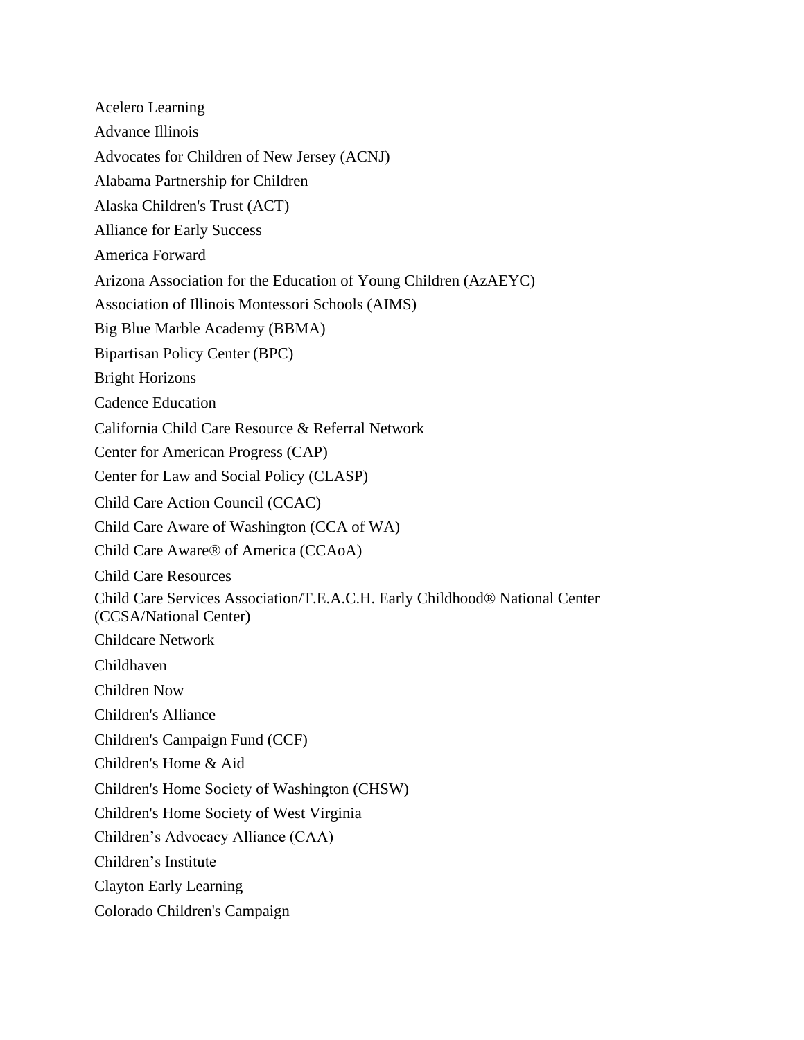Acelero Learning Advance Illinois Advocates for Children of New Jersey (ACNJ) Alabama Partnership for Children Alaska Children's Trust (ACT) Alliance for Early Success America Forward Arizona Association for the Education of Young Children (AzAEYC) Association of Illinois Montessori Schools (AIMS) Big Blue Marble Academy (BBMA) Bipartisan Policy Center (BPC) Bright Horizons Cadence Education California Child Care Resource & Referral Network Center for American Progress (CAP) Center for Law and Social Policy (CLASP) Child Care Action Council (CCAC) Child Care Aware of Washington (CCA of WA) Child Care Aware® of America (CCAoA) Child Care Resources Child Care Services Association/T.E.A.C.H. Early Childhood® National Center (CCSA/National Center) Childcare Network Childhaven Children Now Children's Alliance Children's Campaign Fund (CCF) Children's Home & Aid Children's Home Society of Washington (CHSW) Children's Home Society of West Virginia Children's Advocacy Alliance (CAA) Children's Institute Clayton Early Learning Colorado Children's Campaign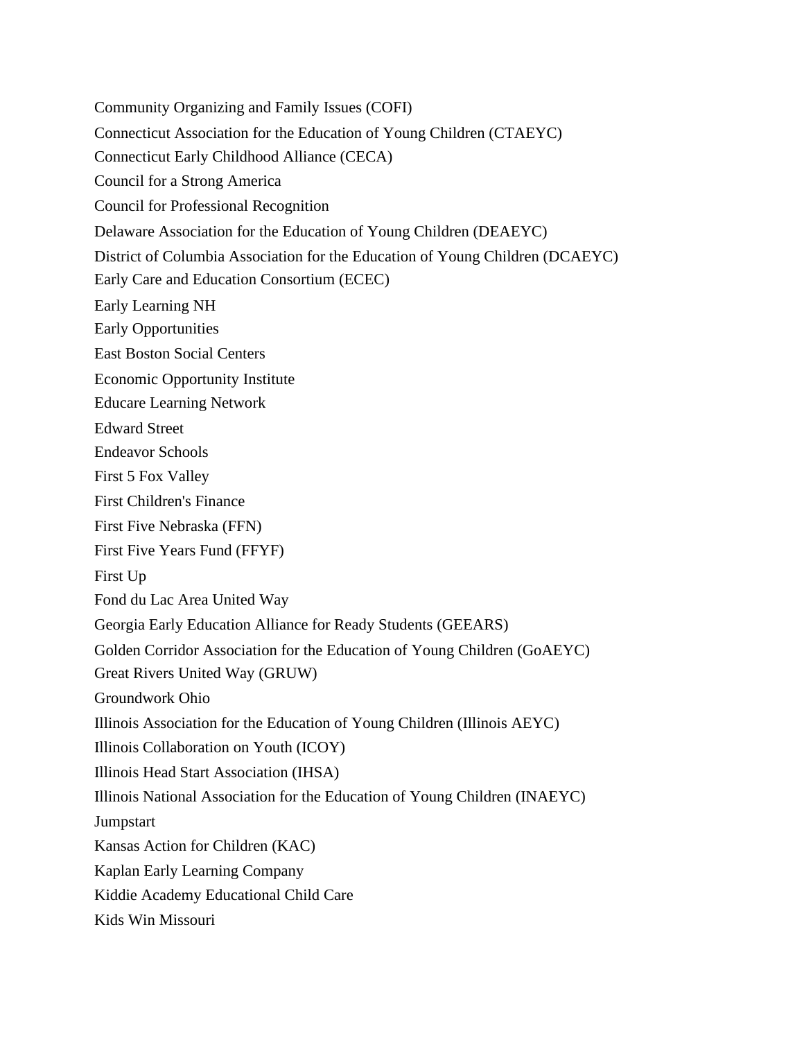Community Organizing and Family Issues (COFI) Connecticut Association for the Education of Young Children (CTAEYC) Connecticut Early Childhood Alliance (CECA) Council for a Strong America Council for Professional Recognition Delaware Association for the Education of Young Children (DEAEYC) District of Columbia Association for the Education of Young Children (DCAEYC) Early Care and Education Consortium (ECEC) Early Learning NH Early Opportunities East Boston Social Centers Economic Opportunity Institute Educare Learning Network Edward Street Endeavor Schools First 5 Fox Valley First Children's Finance First Five Nebraska (FFN) First Five Years Fund (FFYF) First Up Fond du Lac Area United Way Georgia Early Education Alliance for Ready Students (GEEARS) Golden Corridor Association for the Education of Young Children (GoAEYC) Great Rivers United Way (GRUW) Groundwork Ohio Illinois Association for the Education of Young Children (Illinois AEYC) Illinois Collaboration on Youth (ICOY) Illinois Head Start Association (IHSA) Illinois National Association for the Education of Young Children (INAEYC) Jumpstart Kansas Action for Children (KAC) Kaplan Early Learning Company Kiddie Academy Educational Child Care Kids Win Missouri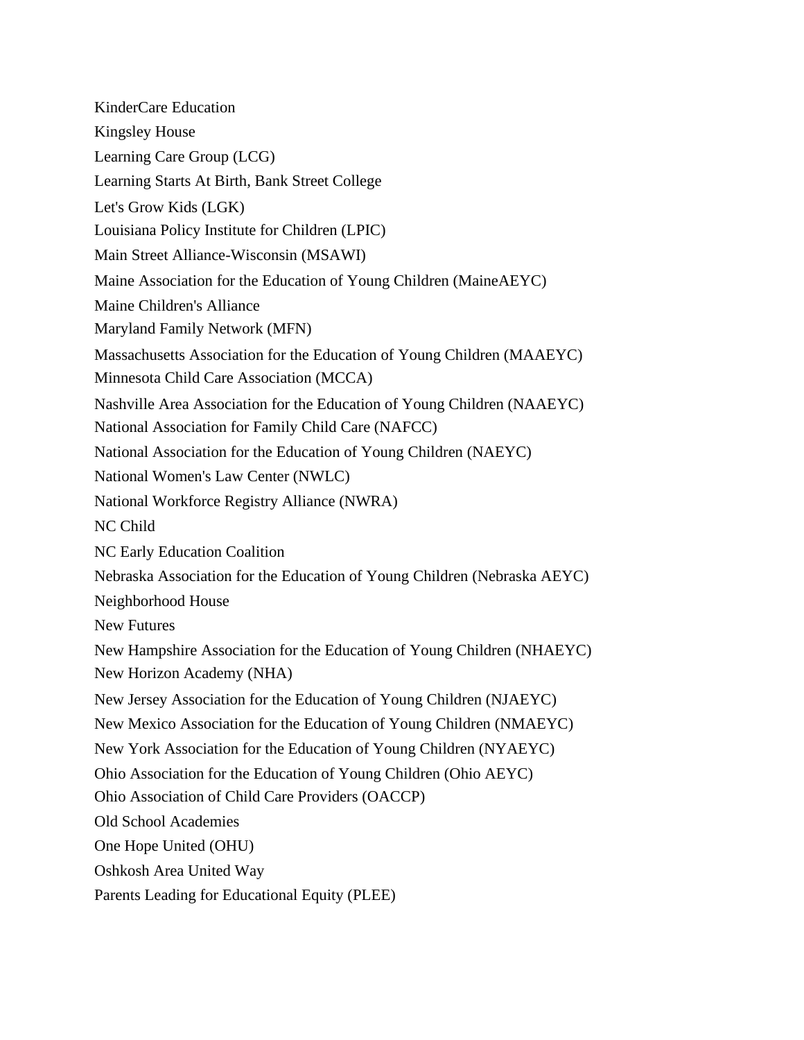KinderCare Education Kingsley House Learning Care Group (LCG) Learning Starts At Birth, Bank Street College Let's Grow Kids (LGK) Louisiana Policy Institute for Children (LPIC) Main Street Alliance-Wisconsin (MSAWI) Maine Association for the Education of Young Children (MaineAEYC) Maine Children's Alliance Maryland Family Network (MFN) Massachusetts Association for the Education of Young Children (MAAEYC) Minnesota Child Care Association (MCCA) Nashville Area Association for the Education of Young Children (NAAEYC) National Association for Family Child Care (NAFCC) National Association for the Education of Young Children (NAEYC) National Women's Law Center (NWLC) National Workforce Registry Alliance (NWRA) NC Child NC Early Education Coalition Nebraska Association for the Education of Young Children (Nebraska AEYC) Neighborhood House New Futures New Hampshire Association for the Education of Young Children (NHAEYC) New Horizon Academy (NHA) New Jersey Association for the Education of Young Children (NJAEYC) New Mexico Association for the Education of Young Children (NMAEYC) New York Association for the Education of Young Children (NYAEYC) Ohio Association for the Education of Young Children (Ohio AEYC) Ohio Association of Child Care Providers (OACCP) Old School Academies One Hope United (OHU) Oshkosh Area United Way Parents Leading for Educational Equity (PLEE)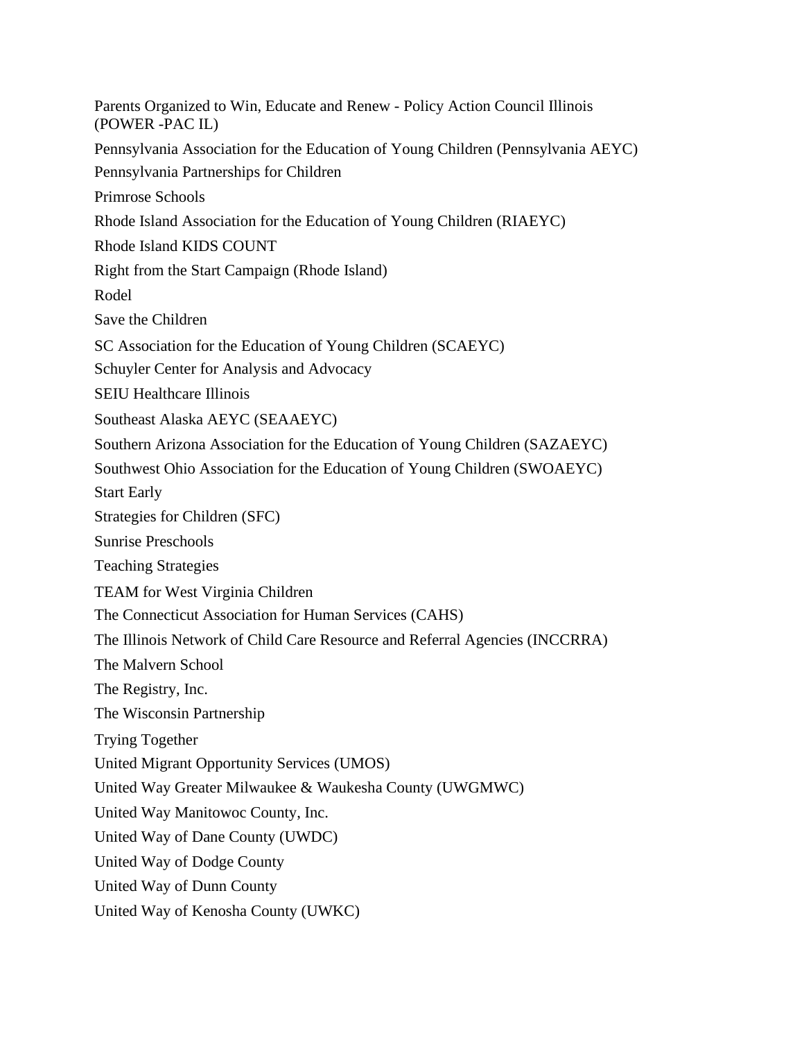Parents Organized to Win, Educate and Renew - Policy Action Council Illinois (POWER -PAC IL) Pennsylvania Association for the Education of Young Children (Pennsylvania AEYC) Pennsylvania Partnerships for Children Primrose Schools Rhode Island Association for the Education of Young Children (RIAEYC) Rhode Island KIDS COUNT Right from the Start Campaign (Rhode Island) Rodel Save the Children SC Association for the Education of Young Children (SCAEYC) Schuyler Center for Analysis and Advocacy SEIU Healthcare Illinois Southeast Alaska AEYC (SEAAEYC) Southern Arizona Association for the Education of Young Children (SAZAEYC) Southwest Ohio Association for the Education of Young Children (SWOAEYC) Start Early Strategies for Children (SFC) Sunrise Preschools Teaching Strategies TEAM for West Virginia Children The Connecticut Association for Human Services (CAHS) The Illinois Network of Child Care Resource and Referral Agencies (INCCRRA) The Malvern School The Registry, Inc. The Wisconsin Partnership Trying Together United Migrant Opportunity Services (UMOS) United Way Greater Milwaukee & Waukesha County (UWGMWC) United Way Manitowoc County, Inc. United Way of Dane County (UWDC) United Way of Dodge County United Way of Dunn County United Way of Kenosha County (UWKC)